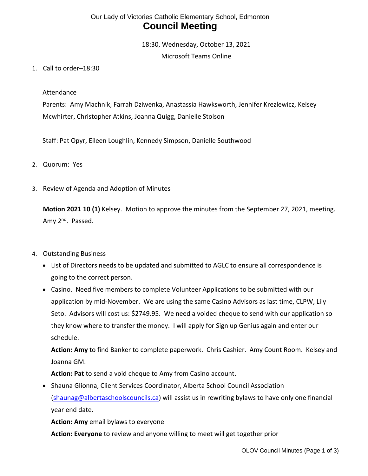# Our Lady of Victories Catholic Elementary School, Edmonton **Council Meeting**

18:30, Wednesday, October 13, 2021 Microsoft Teams Online

1. Call to order–18:30

#### Attendance

Parents: Amy Machnik, Farrah Dziwenka, Anastassia Hawksworth, Jennifer Krezlewicz, Kelsey Mcwhirter, Christopher Atkins, Joanna Quigg, Danielle Stolson

Staff: Pat Opyr, Eileen Loughlin, Kennedy Simpson, Danielle Southwood

- 2. Quorum: Yes
- 3. Review of Agenda and Adoption of Minutes

**Motion 2021 10 (1)** Kelsey. Motion to approve the minutes from the September 27, 2021, meeting. Amy 2<sup>nd</sup>. Passed.

#### 4. Outstanding Business

- List of Directors needs to be updated and submitted to AGLC to ensure all correspondence is going to the correct person.
- Casino. Need five members to complete Volunteer Applications to be submitted with our application by mid-November. We are using the same Casino Advisors as last time, CLPW, Lily Seto. Advisors will cost us: \$2749.95. We need a voided cheque to send with our application so they know where to transfer the money. I will apply for Sign up Genius again and enter our schedule.

**Action: Amy** to find Banker to complete paperwork. Chris Cashier. Amy Count Room. Kelsey and Joanna GM.

**Action: Pat** to send a void cheque to Amy from Casino account.

• Shauna Glionna, Client Services Coordinator, Alberta School Council Association [\(shaunag@albertaschoolscouncils.ca\)](mailto:shaunag@albertaschoolscouncils.ca) will assist us in rewriting bylaws to have only one financial year end date.

**Action: Amy** email bylaws to everyone

**Action: Everyone** to review and anyone willing to meet will get together prior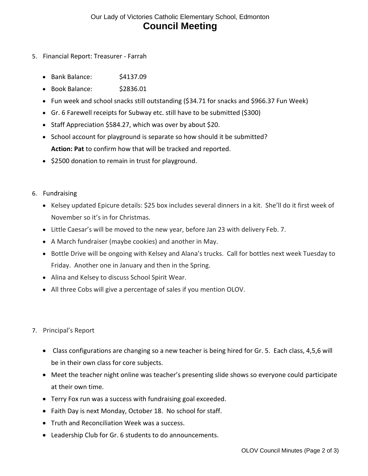## Our Lady of Victories Catholic Elementary School, Edmonton **Council Meeting**

- 5. Financial Report: Treasurer Farrah
	- Bank Balance: \$4137.09
	- Book Balance: \$2836.01
	- Fun week and school snacks still outstanding (\$34.71 for snacks and \$966.37 Fun Week)
	- Gr. 6 Farewell receipts for Subway etc. still have to be submitted (\$300)
	- Staff Appreciation \$584.27, which was over by about \$20.
	- School account for playground is separate so how should it be submitted? **Action: Pat** to confirm how that will be tracked and reported.
	- \$2500 donation to remain in trust for playground.
- 6. Fundraising
	- Kelsey updated Epicure details: \$25 box includes several dinners in a kit. She'll do it first week of November so it's in for Christmas.
	- Little Caesar's will be moved to the new year, before Jan 23 with delivery Feb. 7.
	- A March fundraiser (maybe cookies) and another in May.
	- Bottle Drive will be ongoing with Kelsey and Alana's trucks. Call for bottles next week Tuesday to Friday. Another one in January and then in the Spring.
	- Alina and Kelsey to discuss School Spirit Wear.
	- All three Cobs will give a percentage of sales if you mention OLOV.
- 7. Principal's Report
	- Class configurations are changing so a new teacher is being hired for Gr. 5. Each class, 4,5,6 will be in their own class for core subjects.
	- Meet the teacher night online was teacher's presenting slide shows so everyone could participate at their own time.
	- Terry Fox run was a success with fundraising goal exceeded.
	- Faith Day is next Monday, October 18. No school for staff.
	- Truth and Reconciliation Week was a success.
	- Leadership Club for Gr. 6 students to do announcements.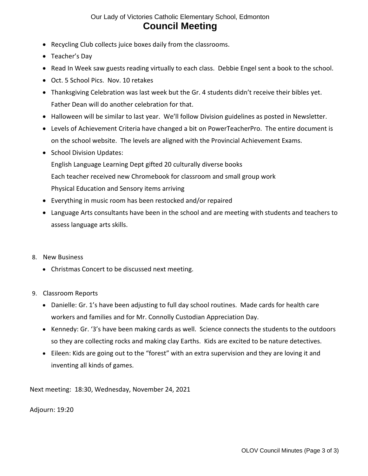## Our Lady of Victories Catholic Elementary School, Edmonton **Council Meeting**

- Recycling Club collects juice boxes daily from the classrooms.
- Teacher's Day
- Read In Week saw guests reading virtually to each class. Debbie Engel sent a book to the school.
- Oct. 5 School Pics. Nov. 10 retakes
- Thanksgiving Celebration was last week but the Gr. 4 students didn't receive their bibles yet. Father Dean will do another celebration for that.
- Halloween will be similar to last year. We'll follow Division guidelines as posted in Newsletter.
- Levels of Achievement Criteria have changed a bit on PowerTeacherPro. The entire document is on the school website. The levels are aligned with the Provincial Achievement Exams.
- School Division Updates: English Language Learning Dept gifted 20 culturally diverse books Each teacher received new Chromebook for classroom and small group work Physical Education and Sensory items arriving
- Everything in music room has been restocked and/or repaired
- Language Arts consultants have been in the school and are meeting with students and teachers to assess language arts skills.

#### 8. New Business

- Christmas Concert to be discussed next meeting.
- 9. Classroom Reports
	- Danielle: Gr. 1's have been adjusting to full day school routines. Made cards for health care workers and families and for Mr. Connolly Custodian Appreciation Day.
	- Kennedy: Gr. '3's have been making cards as well. Science connects the students to the outdoors so they are collecting rocks and making clay Earths. Kids are excited to be nature detectives.
	- Eileen: Kids are going out to the "forest" with an extra supervision and they are loving it and inventing all kinds of games.

Next meeting: 18:30, Wednesday, November 24, 2021

Adjourn: 19:20